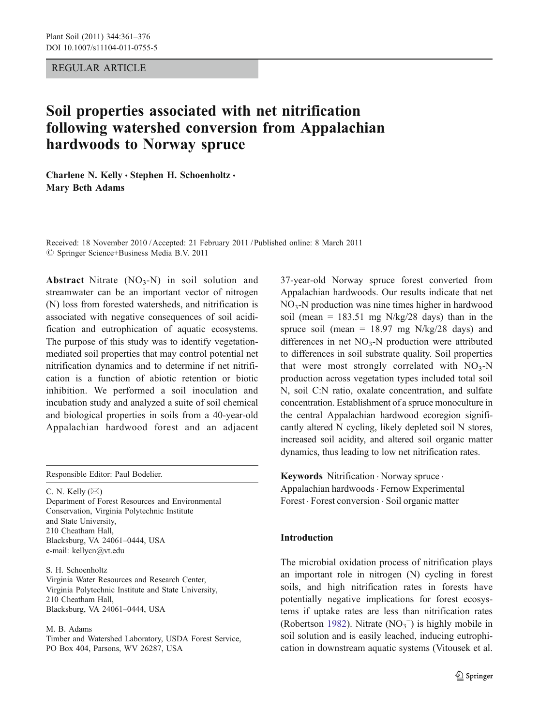REGULAR ARTICLE

# Soil properties associated with net nitrification following watershed conversion from Appalachian hardwoods to Norway spruce

Charlene N. Kelly · Stephen H. Schoenholtz · Mary Beth Adams

Received: 18 November 2010 /Accepted: 21 February 2011 / Published online: 8 March 2011  $\circledcirc$  Springer Science+Business Media B.V. 2011

Abstract Nitrate  $(NO_3-N)$  in soil solution and streamwater can be an important vector of nitrogen (N) loss from forested watersheds, and nitrification is associated with negative consequences of soil acidification and eutrophication of aquatic ecosystems. The purpose of this study was to identify vegetationmediated soil properties that may control potential net nitrification dynamics and to determine if net nitrification is a function of abiotic retention or biotic inhibition. We performed a soil inoculation and incubation study and analyzed a suite of soil chemical and biological properties in soils from a 40-year-old Appalachian hardwood forest and an adjacent

Responsible Editor: Paul Bodelier.

C. N. Kelly  $(\boxtimes)$ Department of Forest Resources and Environmental Conservation, Virginia Polytechnic Institute and State University, 210 Cheatham Hall, Blacksburg, VA 24061–0444, USA e-mail: kellycn@vt.edu

S. H. Schoenholtz Virginia Water Resources and Research Center, Virginia Polytechnic Institute and State University, 210 Cheatham Hall, Blacksburg, VA 24061–0444, USA

M. B. Adams

Timber and Watershed Laboratory, USDA Forest Service, PO Box 404, Parsons, WV 26287, USA

37-year-old Norway spruce forest converted from Appalachian hardwoods. Our results indicate that net  $NO<sub>3</sub>-N$  production was nine times higher in hardwood soil (mean =  $183.51$  mg N/kg/28 days) than in the spruce soil (mean =  $18.97$  mg N/kg/28 days) and differences in net  $NO<sub>3</sub>-N$  production were attributed to differences in soil substrate quality. Soil properties that were most strongly correlated with  $NO<sub>3</sub>-N$ production across vegetation types included total soil N, soil C:N ratio, oxalate concentration, and sulfate concentration. Establishment of a spruce monoculture in the central Appalachian hardwood ecoregion significantly altered N cycling, likely depleted soil N stores, increased soil acidity, and altered soil organic matter dynamics, thus leading to low net nitrification rates.

Keywords Nitrification · Norway spruce · Appalachian hardwoods . Fernow Experimental Forest . Forest conversion . Soil organic matter

# Introduction

The microbial oxidation process of nitrification plays an important role in nitrogen (N) cycling in forest soils, and high nitrification rates in forests have potentially negative implications for forest ecosystems if uptake rates are less than nitrification rates (Robertson [1982](#page-14-0)). Nitrate  $(NO<sub>3</sub><sup>-</sup>)$  is highly mobile in soil solution and is easily leached, inducing eutrophication in downstream aquatic systems (Vitousek et al.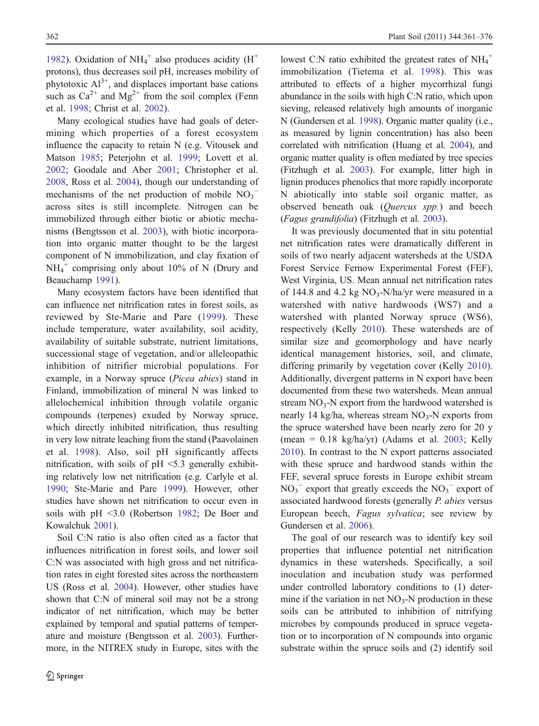[1982\)](#page-15-0). Oxidation of  $NH_4^+$  also produces acidity ( $H^+$ protons), thus decreases soil pH, increases mobility of phytotoxic  $Al^{3+}$ , and displaces important base cations such as  $Ca^{2+}$  and  $Mg^{2+}$  from the soil complex (Fenn et al. [1998;](#page-13-0) Christ et al. [2002\)](#page-13-0).

Many ecological studies have had goals of determining which properties of a forest ecosystem influence the capacity to retain N (e.g. Vitousek and Matson [1985;](#page-15-0) Peterjohn et al. [1999;](#page-14-0) Lovett et al. [2002;](#page-14-0) Goodale and Aber [2001](#page-13-0); Christopher et al. [2008,](#page-13-0) Ross et al. [2004](#page-14-0)), though our understanding of mechanisms of the net production of mobile  $NO_3$ <sup>-</sup> across sites is still incomplete. Nitrogen can be immobilized through either biotic or abiotic mechanisms (Bengtsson et al. [2003\)](#page-13-0), with biotic incorporation into organic matter thought to be the largest component of N immobilization, and clay fixation of  $NH_4^+$  comprising only about 10% of N (Drury and Beauchamp [1991\)](#page-13-0).

Many ecosystem factors have been identified that can influence net nitrification rates in forest soils, as reviewed by Ste-Marie and Pare ([1999](#page-14-0)). These include temperature, water availability, soil acidity, availability of suitable substrate, nutrient limitations, successional stage of vegetation, and/or alleleopathic inhibition of nitrifier microbial populations. For example, in a Norway spruce (Picea abies) stand in Finland, immobilization of mineral N was linked to allelochemical inhibition through volatile organic compounds (terpenes) exuded by Norway spruce, which directly inhibited nitrification, thus resulting in very low nitrate leaching from the stand (Paavolainen et al. [1998](#page-14-0)). Also, soil pH significantly affects nitrification, with soils of  $pH \leq 5.3$  generally exhibiting relatively low net nitrification (e.g. Carlyle et al. [1990;](#page-13-0) Ste-Marie and Pare [1999](#page-14-0)). However, other studies have shown net nitrification to occur even in soils with pH <3.0 (Robertson [1982;](#page-14-0) De Boer and Kowalchuk [2001\)](#page-13-0).

Soil C:N ratio is also often cited as a factor that influences nitrification in forest soils, and lower soil C:N was associated with high gross and net nitrification rates in eight forested sites across the northeastern US (Ross et al. [2004](#page-14-0)). However, other studies have shown that C:N of mineral soil may not be a strong indicator of net nitrification, which may be better explained by temporal and spatial patterns of temperature and moisture (Bengtsson et al. [2003\)](#page-13-0). Furthermore, in the NITREX study in Europe, sites with the

lowest C:N ratio exhibited the greatest rates of  $NH_4^+$ immobilization (Tietema et al. [1998](#page-15-0)). This was attributed to effects of a higher mycorrhizal fungi abundance in the soils with high C:N ratio, which upon sieving, released relatively high amounts of inorganic N (Gundersen et al. [1998](#page-13-0)). Organic matter quality (i.e., as measured by lignin concentration) has also been correlated with nitrification (Huang et al. [2004](#page-14-0)), and organic matter quality is often mediated by tree species (Fitzhugh et al. [2003](#page-13-0)). For example, litter high in lignin produces phenolics that more rapidly incorporate N abiotically into stable soil organic matter, as observed beneath oak (Quercus spp.) and beech (Fagus grandifolia) (Fitzhugh et al. [2003](#page-13-0)).

It was previously documented that in situ potential net nitrification rates were dramatically different in soils of two nearly adjacent watersheds at the USDA Forest Service Fernow Experimental Forest (FEF), West Virginia, US. Mean annual net nitrification rates of 144.8 and 4.2 kg  $NO_3-N/ha/yr$  were measured in a watershed with native hardwoods (WS7) and a watershed with planted Norway spruce (WS6), respectively (Kelly [2010](#page-14-0)). These watersheds are of similar size and geomorphology and have nearly identical management histories, soil, and climate, differing primarily by vegetation cover (Kelly [2010\)](#page-14-0). Additionally, divergent patterns in N export have been documented from these two watersheds. Mean annual stream  $NO<sub>3</sub>-N$  export from the hardwood watershed is nearly 14 kg/ha, whereas stream  $NO<sub>3</sub>-N$  exports from the spruce watershed have been nearly zero for 20 y (mean =  $0.18 \text{ kg/ha/yr}$ ) (Adams et al. [2003;](#page-13-0) Kelly [2010\)](#page-14-0). In contrast to the N export patterns associated with these spruce and hardwood stands within the FEF, several spruce forests in Europe exhibit stream  $NO<sub>3</sub><sup>-</sup>$  export that greatly exceeds the  $NO<sub>3</sub><sup>-</sup>$  export of associated hardwood forests (generally P. abies versus European beech, Fagus sylvatica; see review by Gundersen et al. [2006](#page-14-0)).

The goal of our research was to identify key soil properties that influence potential net nitrification dynamics in these watersheds. Specifically, a soil inoculation and incubation study was performed under controlled laboratory conditions to (1) determine if the variation in net  $NO<sub>3</sub>-N$  production in these soils can be attributed to inhibition of nitrifying microbes by compounds produced in spruce vegetation or to incorporation of N compounds into organic substrate within the spruce soils and (2) identify soil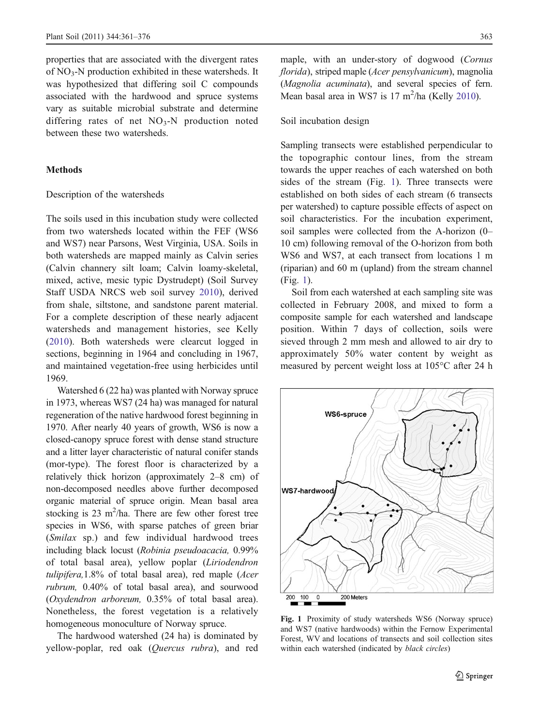properties that are associated with the divergent rates of NO3-N production exhibited in these watersheds. It was hypothesized that differing soil C compounds associated with the hardwood and spruce systems vary as suitable microbial substrate and determine differing rates of net  $NO<sub>3</sub>-N$  production noted between these two watersheds.

## **Methods**

#### Description of the watersheds

The soils used in this incubation study were collected from two watersheds located within the FEF (WS6 and WS7) near Parsons, West Virginia, USA. Soils in both watersheds are mapped mainly as Calvin series (Calvin channery silt loam; Calvin loamy-skeletal, mixed, active, mesic typic Dystrudept) (Soil Survey Staff USDA NRCS web soil survey [2010](#page-14-0)), derived from shale, siltstone, and sandstone parent material. For a complete description of these nearly adjacent watersheds and management histories, see Kelly ([2010](#page-14-0)). Both watersheds were clearcut logged in sections, beginning in 1964 and concluding in 1967, and maintained vegetation-free using herbicides until 1969.

Watershed 6 (22 ha) was planted with Norway spruce in 1973, whereas WS7 (24 ha) was managed for natural regeneration of the native hardwood forest beginning in 1970. After nearly 40 years of growth, WS6 is now a closed-canopy spruce forest with dense stand structure and a litter layer characteristic of natural conifer stands (mor-type). The forest floor is characterized by a relatively thick horizon (approximately 2–8 cm) of non-decomposed needles above further decomposed organic material of spruce origin. Mean basal area stocking is  $23 \text{ m}^2/\text{ha}$ . There are few other forest tree species in WS6, with sparse patches of green briar (Smilax sp.) and few individual hardwood trees including black locust (Robinia pseudoacacia, 0.99% of total basal area), yellow poplar (Liriodendron tulipifera,1.8% of total basal area), red maple (Acer rubrum, 0.40% of total basal area), and sourwood (Oxydendron arboreum, 0.35% of total basal area). Nonetheless, the forest vegetation is a relatively homogeneous monoculture of Norway spruce.

The hardwood watershed (24 ha) is dominated by yellow-poplar, red oak (Quercus rubra), and red maple, with an under-story of dogwood (Cornus florida), striped maple (Acer pensylvanicum), magnolia (Magnolia acuminata), and several species of fern. Mean basal area in WS7 is  $17 \text{ m}^2$ /ha (Kelly [2010](#page-14-0)).

# Soil incubation design

Sampling transects were established perpendicular to the topographic contour lines, from the stream towards the upper reaches of each watershed on both sides of the stream (Fig. 1). Three transects were established on both sides of each stream (6 transects per watershed) to capture possible effects of aspect on soil characteristics. For the incubation experiment, soil samples were collected from the A-horizon (0– 10 cm) following removal of the O-horizon from both WS6 and WS7, at each transect from locations 1 m (riparian) and 60 m (upland) from the stream channel (Fig. 1).

Soil from each watershed at each sampling site was collected in February 2008, and mixed to form a composite sample for each watershed and landscape position. Within 7 days of collection, soils were sieved through 2 mm mesh and allowed to air dry to approximately 50% water content by weight as measured by percent weight loss at 105°C after 24 h



Fig. 1 Proximity of study watersheds WS6 (Norway spruce) and WS7 (native hardwoods) within the Fernow Experimental Forest, WV and locations of transects and soil collection sites within each watershed (indicated by black circles)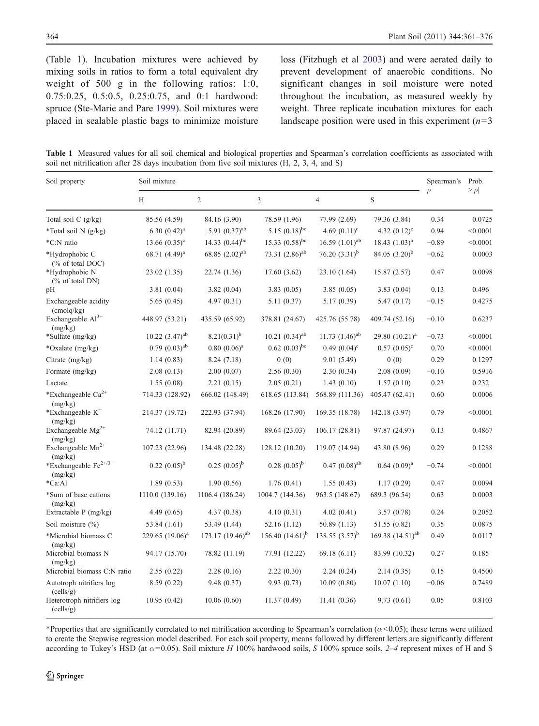<span id="page-3-0"></span>(Table 1). Incubation mixtures were achieved by mixing soils in ratios to form a total equivalent dry weight of 500 g in the following ratios: 1:0, 0.75:0.25, 0.5:0.5, 0.25:0.75, and 0:1 hardwood: spruce (Ste-Marie and Pare [1999](#page-14-0)). Soil mixtures were placed in sealable plastic bags to minimize moisture loss (Fitzhugh et al [2003](#page-13-0)) and were aerated daily to prevent development of anaerobic conditions. No significant changes in soil moisture were noted throughout the incubation, as measured weekly by weight. Three replicate incubation mixtures for each landscape position were used in this experiment  $(n=3)$ 

Table 1 Measured values for all soil chemical and biological properties and Spearman's correlation coefficients as associated with soil net nitrification after 28 days incubation from five soil mixtures (H, 2, 3, 4, and S)

| Soil property                             | Soil mixture           |                              |                              |                     |                       | Spearman's | Prob.     |
|-------------------------------------------|------------------------|------------------------------|------------------------------|---------------------|-----------------------|------------|-----------|
|                                           | H                      | 2                            | $\overline{3}$               | $\overline{4}$      | S                     | $\rho$     | $> \rho $ |
| Total soil $C$ (g/kg)                     | 85.56 (4.59)           | 84.16 (3.90)                 | 78.59 (1.96)                 | 77.99 (2.69)        | 79.36 (3.84)          | 0.34       | 0.0725    |
| *Total soil N (g/kg)                      | 6.30 $(0.42)^a$        | 5.91 $(0.37)$ <sup>ab</sup>  | 5.15 $(0.18)^{bc}$           | 4.69 $(0.11)^c$     | 4.32 $(0.12)^c$       | 0.94       | < 0.0001  |
| *C:N ratio                                | 13.66 $(0.35)^{\circ}$ | 14.33 $(0.44)$ <sup>bc</sup> | 15.33 $(0.58)^{bc}$          | 16.59 $(1.01)^{ab}$ | 18.43 $(1.03)^a$      | $-0.89$    | < 0.0001  |
| *Hydrophobic C<br>$(\%$ of total DOC)     | 68.71 $(4.49)^a$       | 68.85 $(2.02)^{ab}$          | 73.31 $(2.86)^{ab}$          | 76.20 $(3.31)^b$    | 84.05 $(3.20)^b$      | $-0.62$    | 0.0003    |
| *Hydrophobic N<br>$(\%$ of total DN       | 23.02 (1.35)           | 22.74 (1.36)                 | 17.60(3.62)                  | 23.10 (1.64)        | 15.87(2.57)           | 0.47       | 0.0098    |
| pН                                        | 3.81(0.04)             | 3.82(0.04)                   | 3.83(0.05)                   | 3.85(0.05)          | 3.83(0.04)            | 0.13       | 0.496     |
| Exchangeable acidity<br>(cmola/kg)        | 5.65(0.45)             | 4.97(0.31)                   | 5.11(0.37)                   | 5.17 (0.39)         | 5.47(0.17)            | $-0.15$    | 0.4275    |
| Exchangeable Al <sup>3+</sup><br>(mg/kg)  | 448.97 (53.21)         | 435.59 (65.92)               | 378.81 (24.67)               | 425.76 (55.78)      | 409.74 (52.16)        | $-0.10$    | 0.6237    |
| *Sulfate (mg/kg)                          | $10.22$ $(3.47)^{ab}$  | $8.21(0.31)^b$               | 10.21 $(0.34)$ <sup>ab</sup> | 11.73 $(1.46)^{ab}$ | 29.80 $(10.21)^a$     | $-0.73$    | < 0.0001  |
| *Oxalate (mg/kg)                          | $0.79(0.03)^{ab}$      | $0.80~(0.06)^a$              | $0.62$ $(0.03)^{bc}$         | $0.49(0.04)^c$      | $0.57(0.05)^c$        | 0.70       | < 0.0001  |
| Citrate $(mg/kg)$                         | 1.14(0.83)             | 8.24(7.18)                   | 0(0)                         | 9.01(5.49)          | 0(0)                  | 0.29       | 0.1297    |
| Formate (mg/kg)                           | 2.08(0.13)             | 2.00(0.07)                   | 2.56(0.30)                   | 2.30(0.34)          | 2.08(0.09)            | $-0.10$    | 0.5916    |
| Lactate                                   | 1.55(0.08)             | 2.21(0.15)                   | 2.05(0.21)                   | 1.43(0.10)          | 1.57(0.10)            | 0.23       | 0.232     |
| *Exchangeable Ca <sup>2+</sup><br>(mg/kg) | 714.33 (128.92)        | 666.02 (148.49)              | 618.65 (113.84)              | 568.89 (111.36)     | 405.47 (62.41)        | 0.60       | 0.0006    |
| *Exchangeable $K^+$<br>(mg/kg)            | 214.37 (19.72)         | 222.93 (37.94)               | 168.26 (17.90)               | 169.35 (18.78)      | 142.18 (3.97)         | 0.79       | < 0.0001  |
| Exchangeable $Mg^{2+}$<br>(mg/kg)         | 74.12 (11.71)          | 82.94 (20.89)                | 89.64 (23.03)                | 106.17(28.81)       | 97.87 (24.97)         | 0.13       | 0.4867    |
| Exchangeable Mn <sup>2+</sup><br>(mg/kg)  | 107.23 (22.96)         | 134.48 (22.28)               | 128.12 (10.20)               | 119.07 (14.94)      | 43.80 (8.96)          | 0.29       | 0.1288    |
| *Exchangeable $Fe^{2+/3+}$<br>(mg/kg)     | $0.22~(0.05)^{b}$      | $0.25(0.05)^{b}$             | $0.28~(0.05)^{b}$            | $0.47 (0.08)^{ab}$  | $0.64$ $(0.09)^a$     | $-0.74$    | < 0.0001  |
| *Ca:Al                                    | 1.89(0.53)             | 1.90(0.56)                   | 1.76(0.41)                   | 1.55(0.43)          | 1.17(0.29)            | 0.47       | 0.0094    |
| *Sum of base cations<br>(mg/kg)           | 1110.0 (139.16)        | 1106.4 (186.24)              | 1004.7 (144.36)              | 963.5 (148.67)      | 689.3 (96.54)         | 0.63       | 0.0003    |
| Extractable P (mg/kg)                     | 4.49(0.65)             | 4.37(0.38)                   | 4.10(0.31)                   | 4.02(0.41)          | 3.57(0.78)            | 0.24       | 0.2052    |
| Soil moisture $(\% )$                     | 53.84 (1.61)           | 53.49 (1.44)                 | 52.16 (1.12)                 | 50.89(1.13)         | 51.55 (0.82)          | 0.35       | 0.0875    |
| *Microbial biomass C<br>(mg/kg)           | 229.65 $(19.06)^a$     | 173.17 $(19.46)^{ab}$        | 156.40 $(14.61)^{b}$         | 138.55 $(3.57)^b$   | 169.38 $(14.51)^{ab}$ | 0.49       | 0.0117    |
| Microbial biomass N<br>(mg/kg)            | 94.17 (15.70)          | 78.82 (11.19)                | 77.91 (12.22)                | 69.18(6.11)         | 83.99 (10.32)         | 0.27       | 0.185     |
| Microbial biomass C:N ratio               | 2.55(0.22)             | 2.28(0.16)                   | 2.22(0.30)                   | 2.24(0.24)          | 2.14(0.35)            | 0.15       | 0.4500    |
| Autotroph nitrifiers log<br>(cells/g)     | 8.59(0.22)             | 9.48(0.37)                   | 9.93(0.73)                   | 10.09(0.80)         | 10.07(1.10)           | $-0.06$    | 0.7489    |
| Heterotroph nitrifiers log<br>(cells/g)   | 10.95(0.42)            | 10.06(0.60)                  | 11.37(0.49)                  | 11.41(0.36)         | 9.73(0.61)            | 0.05       | 0.8103    |

\*Properties that are significantly correlated to net nitrification according to Spearman's correlation ( $\alpha$ <0.05); these terms were utilized to create the Stepwise regression model described. For each soil property, means followed by different letters are significantly different according to Tukey's HSD (at  $\alpha$ =0.05). Soil mixture H 100% hardwood soils, S 100% spruce soils, 2–4 represent mixes of H and S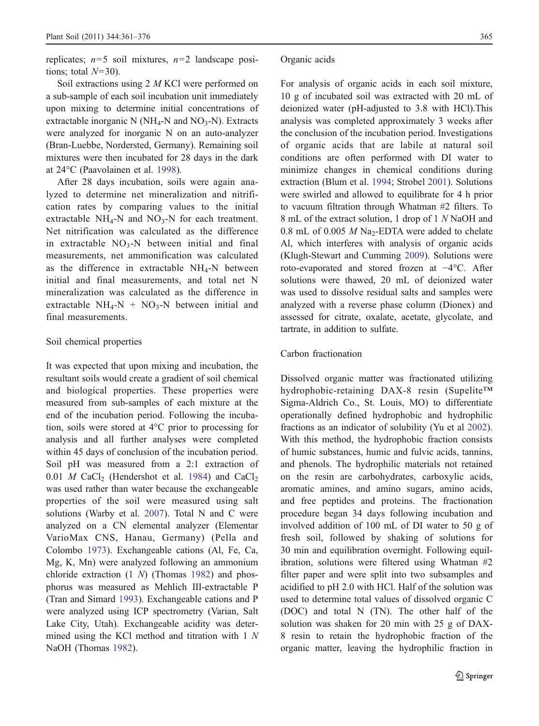replicates;  $n=5$  soil mixtures,  $n=2$  landscape positions; total  $N=30$ ).

Soil extractions using 2 M KCl were performed on a sub-sample of each soil incubation unit immediately upon mixing to determine initial concentrations of extractable inorganic N ( $NH_4$ -N and  $NO_3$ -N). Extracts were analyzed for inorganic N on an auto-analyzer (Bran-Luebbe, Nordersted, Germany). Remaining soil mixtures were then incubated for 28 days in the dark at 24°C (Paavolainen et al. [1998](#page-14-0)).

After 28 days incubation, soils were again analyzed to determine net mineralization and nitrification rates by comparing values to the initial extractable  $NH_4-N$  and  $NO_3-N$  for each treatment. Net nitrification was calculated as the difference in extractable  $NO<sub>3</sub>-N$  between initial and final measurements, net ammonification was calculated as the difference in extractable  $NH<sub>4</sub>-N$  between initial and final measurements, and total net N mineralization was calculated as the difference in extractable  $NH_4-N + NO_3-N$  between initial and final measurements.

# Soil chemical properties

It was expected that upon mixing and incubation, the resultant soils would create a gradient of soil chemical and biological properties. These properties were measured from sub-samples of each mixture at the end of the incubation period. Following the incubation, soils were stored at 4°C prior to processing for analysis and all further analyses were completed within 45 days of conclusion of the incubation period. Soil pH was measured from a 2:1 extraction of 0.01 M CaCl<sub>2</sub> (Hendershot et al. [1984\)](#page-14-0) and CaCl<sub>2</sub> was used rather than water because the exchangeable properties of the soil were measured using salt solutions (Warby et al. [2007\)](#page-15-0). Total N and C were analyzed on a CN elemental analyzer (Elementar VarioMax CNS, Hanau, Germany) (Pella and Colombo [1973](#page-14-0)). Exchangeable cations (Al, Fe, Ca, Mg, K, Mn) were analyzed following an ammonium chloride extraction (1 N) (Thomas [1982\)](#page-15-0) and phosphorus was measured as Mehlich III-extractable P (Tran and Simard [1993\)](#page-15-0). Exchangeable cations and P were analyzed using ICP spectrometry (Varian, Salt Lake City, Utah). Exchangeable acidity was determined using the KCl method and titration with 1 N NaOH (Thomas [1982](#page-15-0)).

## Organic acids

For analysis of organic acids in each soil mixture, 10 g of incubated soil was extracted with 20 mL of deionized water (pH-adjusted to 3.8 with HCl).This analysis was completed approximately 3 weeks after the conclusion of the incubation period. Investigations of organic acids that are labile at natural soil conditions are often performed with DI water to minimize changes in chemical conditions during extraction (Blum et al. [1994](#page-13-0); Strobel [2001](#page-15-0)). Solutions were swirled and allowed to equilibrate for 4 h prior to vacuum filtration through Whatman #2 filters. To 8 mL of the extract solution, 1 drop of 1 N NaOH and 0.8 mL of 0.005  $M$  Na<sub>2</sub>-EDTA were added to chelate Al, which interferes with analysis of organic acids (Klugh-Stewart and Cumming [2009\)](#page-14-0). Solutions were roto-evaporated and stored frozen at −4°C. After solutions were thawed, 20 mL of deionized water was used to dissolve residual salts and samples were analyzed with a reverse phase column (Dionex) and assessed for citrate, oxalate, acetate, glycolate, and tartrate, in addition to sulfate.

## Carbon fractionation

Dissolved organic matter was fractionated utilizing hydrophobic-retaining DAX-8 resin (Supelite™ Sigma-Aldrich Co., St. Louis, MO) to differentiate operationally defined hydrophobic and hydrophilic fractions as an indicator of solubility (Yu et al [2002\)](#page-15-0). With this method, the hydrophobic fraction consists of humic substances, humic and fulvic acids, tannins, and phenols. The hydrophilic materials not retained on the resin are carbohydrates, carboxylic acids, aromatic amines, and amino sugars, amino acids, and free peptides and proteins. The fractionation procedure began 34 days following incubation and involved addition of 100 mL of DI water to 50 g of fresh soil, followed by shaking of solutions for 30 min and equilibration overnight. Following equilibration, solutions were filtered using Whatman #2 filter paper and were split into two subsamples and acidified to pH 2.0 with HCl. Half of the solution was used to determine total values of dissolved organic C (DOC) and total N (TN). The other half of the solution was shaken for 20 min with 25 g of DAX-8 resin to retain the hydrophobic fraction of the organic matter, leaving the hydrophilic fraction in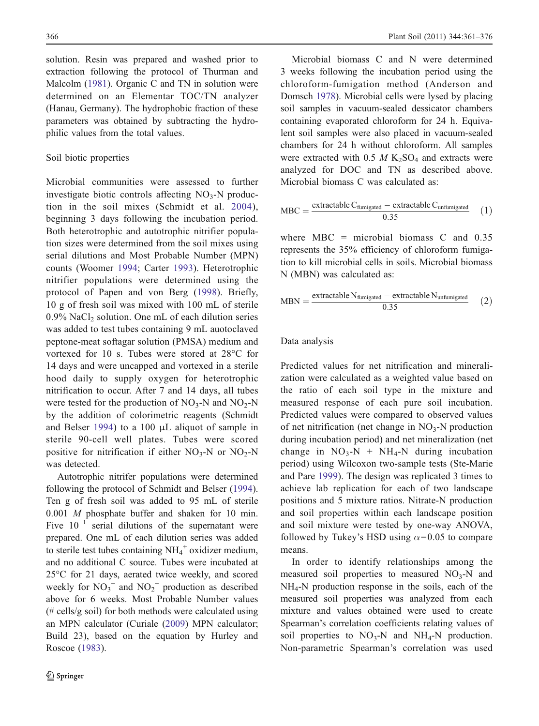solution. Resin was prepared and washed prior to extraction following the protocol of Thurman and Malcolm ([1981\)](#page-15-0). Organic C and TN in solution were determined on an Elementar TOC/TN analyzer (Hanau, Germany). The hydrophobic fraction of these parameters was obtained by subtracting the hydrophilic values from the total values.

# Soil biotic properties

Microbial communities were assessed to further investigate biotic controls affecting  $NO<sub>3</sub>-N$  production in the soil mixes (Schmidt et al. [2004](#page-14-0)), beginning 3 days following the incubation period. Both heterotrophic and autotrophic nitrifier population sizes were determined from the soil mixes using serial dilutions and Most Probable Number (MPN) counts (Woomer [1994;](#page-15-0) Carter [1993](#page-13-0)). Heterotrophic nitrifier populations were determined using the protocol of Papen and von Berg ([1998](#page-14-0)). Briefly, 10 g of fresh soil was mixed with 100 mL of sterile  $0.9\%$  NaCl<sub>2</sub> solution. One mL of each dilution series was added to test tubes containing 9 mL auotoclaved peptone-meat softagar solution (PMSA) medium and vortexed for 10 s. Tubes were stored at 28°C for 14 days and were uncapped and vortexed in a sterile hood daily to supply oxygen for heterotrophic nitrification to occur. After 7 and 14 days, all tubes were tested for the production of  $NO<sub>3</sub>-N$  and  $NO<sub>2</sub>-N$ by the addition of colorimetric reagents (Schmidt and Belser [1994](#page-14-0)) to a 100 μL aliquot of sample in sterile 90-cell well plates. Tubes were scored positive for nitrification if either  $NO_3-N$  or  $NO_2-N$ was detected.

Autotrophic nitrifer populations were determined following the protocol of Schmidt and Belser ([1994](#page-14-0)). Ten g of fresh soil was added to 95 mL of sterile 0.001 M phosphate buffer and shaken for 10 min. Five  $10^{-1}$  serial dilutions of the supernatant were prepared. One mL of each dilution series was added to sterile test tubes containing  $NH_4^+$  oxidizer medium, and no additional C source. Tubes were incubated at 25°C for 21 days, aerated twice weekly, and scored weekly for  $NO_3^-$  and  $NO_2^-$  production as described above for 6 weeks. Most Probable Number values  $(\#$  cells/g soil) for both methods were calculated using an MPN calculator (Curiale ([2009\)](#page-13-0) MPN calculator; Build 23), based on the equation by Hurley and Roscoe [\(1983](#page-14-0)).

Microbial biomass C and N were determined 3 weeks following the incubation period using the chloroform-fumigation method (Anderson and Domsch [1978\)](#page-13-0). Microbial cells were lysed by placing soil samples in vacuum-sealed dessicator chambers containing evaporated chloroform for 24 h. Equivalent soil samples were also placed in vacuum-sealed chambers for 24 h without chloroform. All samples were extracted with  $0.5 M K_2SO_4$  and extracts were analyzed for DOC and TN as described above. Microbial biomass C was calculated as:

$$
MBC = \frac{\text{extractable } C_{\text{fumigated}} - \text{extractable } C_{\text{unfumigated}}}{0.35} \tag{1}
$$

where  $MBC =$  microbial biomass C and 0.35 represents the 35% efficiency of chloroform fumigation to kill microbial cells in soils. Microbial biomass N (MBN) was calculated as:

$$
MBN = \frac{\text{extractable } N_{\text{fumigated}} - \text{extractable } N_{\text{unfumigated}}}{0.35} \tag{2}
$$

#### Data analysis

Predicted values for net nitrification and mineralization were calculated as a weighted value based on the ratio of each soil type in the mixture and measured response of each pure soil incubation. Predicted values were compared to observed values of net nitrification (net change in  $NO<sub>3</sub>-N$  production during incubation period) and net mineralization (net change in  $NO_3-N + NH_4-N$  during incubation period) using Wilcoxon two-sample tests (Ste-Marie and Pare [1999](#page-14-0)). The design was replicated 3 times to achieve lab replication for each of two landscape positions and 5 mixture ratios. Nitrate-N production and soil properties within each landscape position and soil mixture were tested by one-way ANOVA, followed by Tukey's HSD using  $\alpha$ =0.05 to compare means.

In order to identify relationships among the measured soil properties to measured  $NO<sub>3</sub>-N$  and NH4-N production response in the soils, each of the measured soil properties was analyzed from each mixture and values obtained were used to create Spearman's correlation coefficients relating values of soil properties to  $NO_3-N$  and  $NH_4-N$  production. Non-parametric Spearman's correlation was used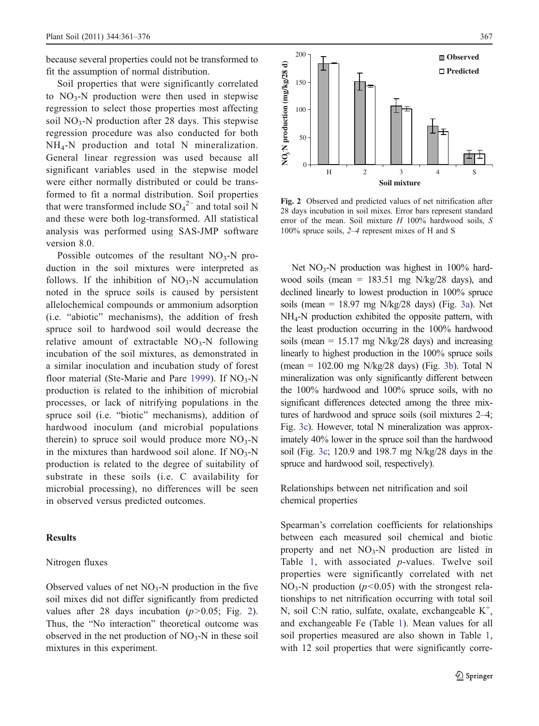<span id="page-6-0"></span>because several properties could not be transformed to fit the assumption of normal distribution.

Soil properties that were significantly correlated to  $NO<sub>3</sub>-N$  production were then used in stepwise regression to select those properties most affecting soil  $NO<sub>3</sub>-N$  production after 28 days. This stepwise regression procedure was also conducted for both NH4-N production and total N mineralization. General linear regression was used because all significant variables used in the stepwise model were either normally distributed or could be transformed to fit a normal distribution. Soil properties that were transformed include  $SO_4^2$ <sup>-</sup> and total soil N and these were both log-transformed. All statistical analysis was performed using SAS-JMP software version 8.0.

Possible outcomes of the resultant  $NO<sub>3</sub>-N$  production in the soil mixtures were interpreted as follows. If the inhibition of  $NO<sub>3</sub>-N$  accumulation noted in the spruce soils is caused by persistent allelochemical compounds or ammonium adsorption (i.e. "abiotic" mechanisms), the addition of fresh spruce soil to hardwood soil would decrease the relative amount of extractable  $NO_3-N$  following incubation of the soil mixtures, as demonstrated in a similar inoculation and incubation study of forest floor material (Ste-Marie and Pare [1999\)](#page-14-0). If  $NO_3-N$ production is related to the inhibition of microbial processes, or lack of nitrifying populations in the spruce soil (i.e. "biotic" mechanisms), addition of hardwood inoculum (and microbial populations therein) to spruce soil would produce more  $NO_3-N$ in the mixtures than hardwood soil alone. If  $NO_3-N$ production is related to the degree of suitability of substrate in these soils (i.e. C availability for microbial processing), no differences will be seen in observed versus predicted outcomes.

# **Results**

## Nitrogen fluxes

Observed values of net  $NO<sub>3</sub>-N$  production in the five soil mixes did not differ significantly from predicted values after 28 days incubation  $(p>0.05$ ; Fig. 2). Thus, the "No interaction" theoretical outcome was observed in the net production of  $NO<sub>3</sub>-N$  in these soil mixtures in this experiment.



Fig. 2 Observed and predicted values of net nitrification after 28 days incubation in soil mixes. Error bars represent standard error of the mean. Soil mixture  $H$  100% hardwood soils,  $S$ 100% spruce soils, 2–4 represent mixes of H and S

Net  $NO<sub>3</sub>-N$  production was highest in 100% hardwood soils (mean = 183.51 mg N/kg/28 days), and declined linearly to lowest production in 100% spruce soils (mean  $= 18.97$  mg N/kg/28 days) (Fig. [3a\)](#page-7-0). Net NH4-N production exhibited the opposite pattern, with the least production occurring in the 100% hardwood soils (mean  $= 15.17$  mg N/kg/28 days) and increasing linearly to highest production in the 100% spruce soils (mean =  $102.00$  mg N/kg/28 days) (Fig. [3b](#page-7-0)). Total N mineralization was only significantly different between the 100% hardwood and 100% spruce soils, with no significant differences detected among the three mixtures of hardwood and spruce soils (soil mixtures 2–4; Fig. [3c\)](#page-7-0). However, total N mineralization was approximately 40% lower in the spruce soil than the hardwood soil (Fig. [3c](#page-7-0); 120.9 and 198.7 mg N/kg/28 days in the spruce and hardwood soil, respectively).

Relationships between net nitrification and soil chemical properties

Spearman's correlation coefficients for relationships between each measured soil chemical and biotic property and net  $NO_3-N$  production are listed in Table [1,](#page-3-0) with associated p-values. Twelve soil properties were significantly correlated with net NO<sub>3</sub>-N production ( $p$ <0.05) with the strongest relationships to net nitrification occurring with total soil N, soil C:N ratio, sulfate, oxalate, exchangeable K<sup>+</sup>, and exchangeable Fe (Table [1](#page-3-0)). Mean values for all soil properties measured are also shown in Table [1,](#page-3-0) with 12 soil properties that were significantly corre-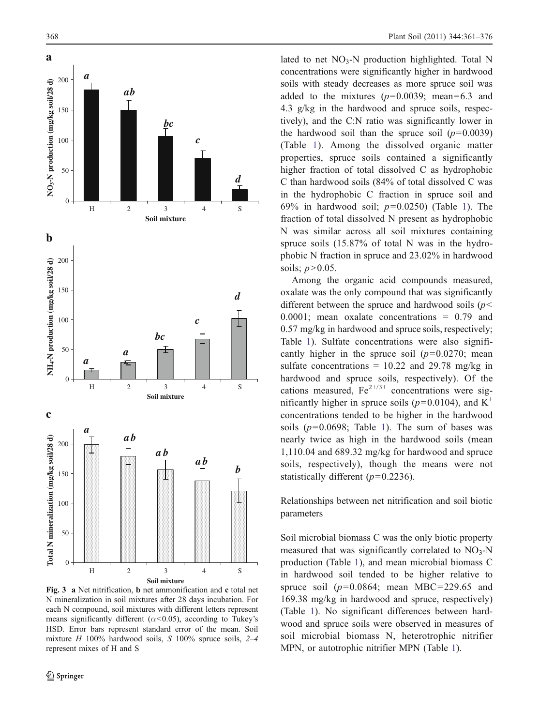<span id="page-7-0"></span>

Fig. 3 a Net nitrification, b net ammonification and c total net N mineralization in soil mixtures after 28 days incubation. For each N compound, soil mixtures with different letters represent means significantly different ( $\alpha$ <0.05), according to Tukey's HSD. Error bars represent standard error of the mean. Soil mixture  $H$  100% hardwood soils,  $S$  100% spruce soils, 2–4 represent mixes of H and S

lated to net  $NO_3-N$  production highlighted. Total N concentrations were significantly higher in hardwood soils with steady decreases as more spruce soil was added to the mixtures  $(p=0.0039; \text{ mean}=6.3 \text{ and}$ 4.3 g/kg in the hardwood and spruce soils, respectively), and the C:N ratio was significantly lower in the hardwood soil than the spruce soil  $(p=0.0039)$ (Table [1\)](#page-3-0). Among the dissolved organic matter properties, spruce soils contained a significantly higher fraction of total dissolved C as hydrophobic C than hardwood soils (84% of total dissolved C was in the hydrophobic C fraction in spruce soil and 69% in hardwood soil;  $p=0.0250$  (Table [1](#page-3-0)). The fraction of total dissolved N present as hydrophobic N was similar across all soil mixtures containing spruce soils (15.87% of total N was in the hydrophobic N fraction in spruce and 23.02% in hardwood soils;  $p>0.05$ .

Among the organic acid compounds measured, oxalate was the only compound that was significantly different between the spruce and hardwood soils ( $p$  < 0.0001; mean oxalate concentrations = 0.79 and 0.57 mg/kg in hardwood and spruce soils, respectively; Table [1\)](#page-3-0). Sulfate concentrations were also significantly higher in the spruce soil  $(p=0.0270)$ ; mean sulfate concentrations =  $10.22$  and  $29.78$  mg/kg in hardwood and spruce soils, respectively). Of the cations measured,  $Fe^{2+/3+}$  concentrations were significantly higher in spruce soils ( $p=0.0104$ ), and K<sup>+</sup> concentrations tended to be higher in the hardwood soils ( $p=0.0698$ ; Table [1\)](#page-3-0). The sum of bases was nearly twice as high in the hardwood soils (mean 1,110.04 and 689.32 mg/kg for hardwood and spruce soils, respectively), though the means were not statistically different  $(p=0.2236)$ .

Relationships between net nitrification and soil biotic parameters

Soil microbial biomass C was the only biotic property measured that was significantly correlated to  $NO<sub>3</sub>-N$ production (Table [1\)](#page-3-0), and mean microbial biomass C in hardwood soil tended to be higher relative to spruce soil ( $p=0.0864$ ; mean MBC=229.65 and 169.38 mg/kg in hardwood and spruce, respectively) (Table [1\)](#page-3-0). No significant differences between hardwood and spruce soils were observed in measures of soil microbial biomass N, heterotrophic nitrifier MPN, or autotrophic nitrifier MPN (Table [1](#page-3-0)).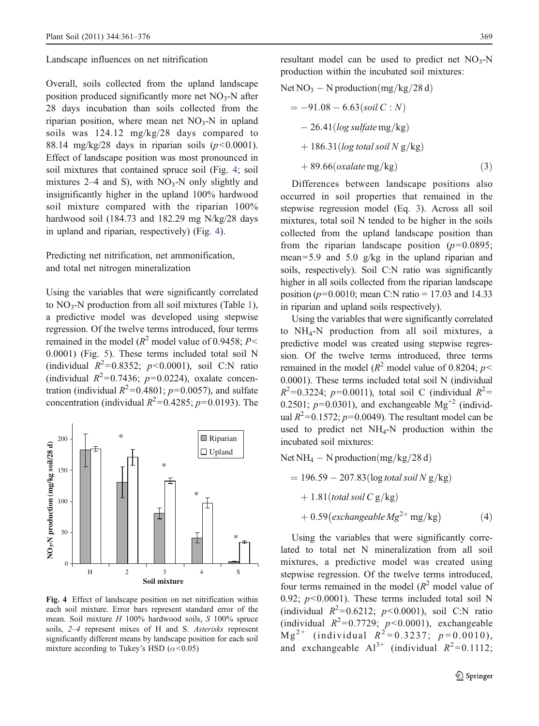<span id="page-8-0"></span>Landscape influences on net nitrification

Overall, soils collected from the upland landscape position produced significantly more net  $NO<sub>3</sub>-N$  after 28 days incubation than soils collected from the riparian position, where mean net  $NO<sub>3</sub>-N$  in upland soils was 124.12 mg/kg/28 days compared to 88.14 mg/kg/28 days in riparian soils  $(p<0.0001)$ . Effect of landscape position was most pronounced in soil mixtures that contained spruce soil (Fig. 4; soil mixtures  $2-4$  and S), with  $NO<sub>3</sub>-N$  only slightly and insignificantly higher in the upland 100% hardwood soil mixture compared with the riparian 100% hardwood soil (184.73 and 182.29 mg N/kg/28 days in upland and riparian, respectively) (Fig. 4).

Predicting net nitrification, net ammonification, and total net nitrogen mineralization

Using the variables that were significantly correlated to  $NO_3-N$  production from all soil mixtures (Table [1](#page-3-0)), a predictive model was developed using stepwise regression. Of the twelve terms introduced, four terms remained in the model ( $R^2$  model value of 0.9458;  $P<$ 0.0001) (Fig. [5\)](#page-9-0). These terms included total soil N (individual  $R^2 = 0.8352$ ;  $p < 0.0001$ ), soil C:N ratio (individual  $R^2=0.7436$ ;  $p=0.0224$ ), oxalate concentration (individual  $R^2$ =0.4801;  $p$ =0.0057), and sulfate concentration (individual  $R^2=0.4285$ ;  $p=0.0193$ ). The



Fig. 4 Effect of landscape position on net nitrification within each soil mixture. Error bars represent standard error of the mean. Soil mixture H 100% hardwood soils, S 100% spruce soils, 2–4 represent mixes of H and S. Asterisks represent significantly different means by landscape position for each soil mixture according to Tukey's HSD ( $\alpha$ <0.05)

resultant model can be used to predict net  $NO_3-N$ production within the incubated soil mixtures:

Net NO3 - N production mg ð Þ =kg=28 d ¼ -91:08 - 6:63ð Þ soil C : N - 26:41ð Þ log sulfate mg=kg þ 186:31ð Þ log total soil N g=kg þ 89:66ðÞ ð oxalate mg=kg 3Þ

Differences between landscape positions also occurred in soil properties that remained in the stepwise regression model (Eq. 3). Across all soil mixtures, total soil N tended to be higher in the soils collected from the upland landscape position than from the riparian landscape position  $(p=0.0895)$ ; mean=5.9 and 5.0 g/kg in the upland riparian and soils, respectively). Soil C:N ratio was significantly higher in all soils collected from the riparian landscape position ( $p=0.0010$ ; mean C:N ratio = 17.03 and 14.33 in riparian and upland soils respectively).

Using the variables that were significantly correlated to NH4-N production from all soil mixtures, a predictive model was created using stepwise regression. Of the twelve terms introduced, three terms remained in the model ( $R^2$  model value of 0.8204;  $p$  < 0.0001). These terms included total soil N (individual  $R^2 = 0.3224$ ;  $p=0.0011$ ), total soil C (individual  $R^2 =$ 0.2501;  $p=0.0301$ ), and exchangeable Mg<sup>+2</sup> (individual  $R^2$ =0.1572;  $p$ =0.0049). The resultant model can be used to predict net  $NH_4-N$  production within the incubated soil mixtures:

Net NH<sub>4</sub> – N production(mg/kg/28 d)  $= 196.59 - 207.83(\log total)$  soil N g/kg)  $+1.81$ (total soil C g/kg)  $+0.59$ (exchangeable  $Mg^{2+}$  mg/kg) (4)

Using the variables that were significantly correlated to total net N mineralization from all soil mixtures, a predictive model was created using stepwise regression. Of the twelve terms introduced, four terms remained in the model  $(R^2 \text{ model value of})$ 0.92;  $p<0.0001$ ). These terms included total soil N (individual  $R^2 = 0.6212$ ;  $p < 0.0001$ ), soil C:N ratio (individual  $R^2=0.7729$ ;  $p<0.0001$ ), exchangeable  $M g^{2+}$  (individual  $R^{2} = 0.3237$ ;  $p = 0.0010$ ), and exchangeable  $Al^{3+}$  (individual  $R^2=0.1112$ ;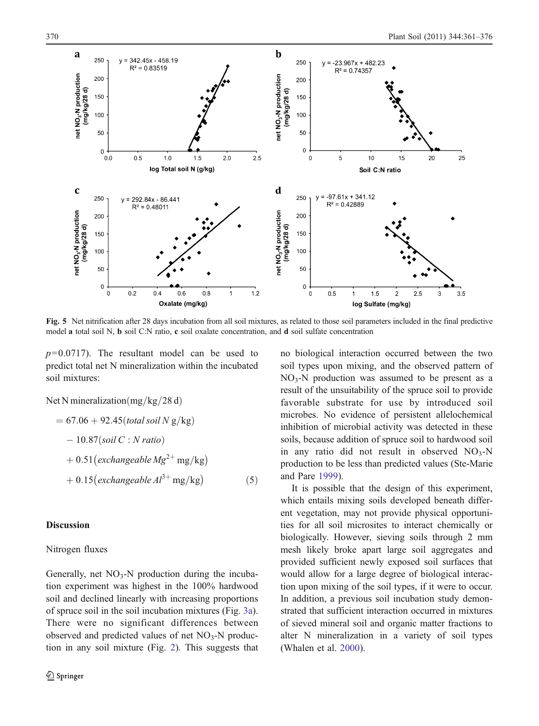<span id="page-9-0"></span>

Fig. 5 Net nitrification after 28 days incubation from all soil mixtures, as related to those soil parameters included in the final predictive model a total soil N, b soil C:N ratio, c soil oxalate concentration, and d soil sulfate concentration

 $p=0.0717$ ). The resultant model can be used to predict total net N mineralization within the incubated soil mixtures:

Net N mineralization  $\frac{mg}{kg}}/28 d$ 

$$
= 67.06 + 92.45 (total soil N g/kg)
$$
  
- 10.87 (soil C : N ratio)  
+ 0.51 (exchangeable Mg<sup>2+</sup> mg/kg)  
+ 0.15 (exchangeable Al<sup>3+</sup> mg/kg) (5)

## **Discussion**

# Nitrogen fluxes

Generally, net  $NO<sub>3</sub>-N$  production during the incubation experiment was highest in the 100% hardwood soil and declined linearly with increasing proportions of spruce soil in the soil incubation mixtures (Fig. [3a](#page-7-0)). There were no significant differences between observed and predicted values of net  $NO<sub>3</sub>-N$  production in any soil mixture (Fig. [2](#page-6-0)). This suggests that no biological interaction occurred between the two soil types upon mixing, and the observed pattern of  $NO<sub>3</sub>-N$  production was assumed to be present as a result of the unsuitability of the spruce soil to provide favorable substrate for use by introduced soil microbes. No evidence of persistent allelochemical inhibition of microbial activity was detected in these soils, because addition of spruce soil to hardwood soil in any ratio did not result in observed  $NO_3-N$ production to be less than predicted values (Ste-Marie and Pare [1999](#page-14-0)).

It is possible that the design of this experiment, which entails mixing soils developed beneath different vegetation, may not provide physical opportunities for all soil microsites to interact chemically or biologically. However, sieving soils through 2 mm mesh likely broke apart large soil aggregates and provided sufficient newly exposed soil surfaces that would allow for a large degree of biological interaction upon mixing of the soil types, if it were to occur. In addition, a previous soil incubation study demonstrated that sufficient interaction occurred in mixtures of sieved mineral soil and organic matter fractions to alter N mineralization in a variety of soil types (Whalen et al. [2000](#page-15-0)).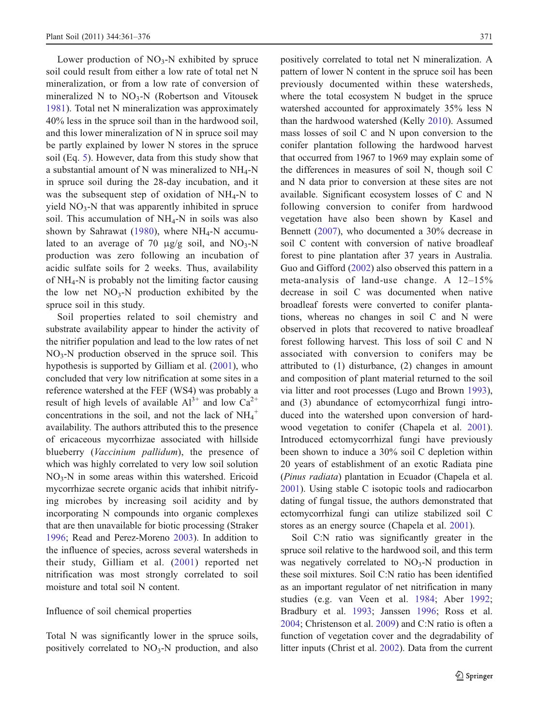Lower production of  $NO<sub>3</sub>-N$  exhibited by spruce soil could result from either a low rate of total net N mineralization, or from a low rate of conversion of mineralized N to  $NO<sub>3</sub>-N$  (Robertson and Vitousek [1981](#page-14-0)). Total net N mineralization was approximately 40% less in the spruce soil than in the hardwood soil, and this lower mineralization of N in spruce soil may be partly explained by lower N stores in the spruce soil (Eq. [5\)](#page-9-0). However, data from this study show that a substantial amount of N was mineralized to  $NH_4-N$ in spruce soil during the 28-day incubation, and it was the subsequent step of oxidation of  $NH_4-N$  to yield  $NO<sub>3</sub>-N$  that was apparently inhibited in spruce soil. This accumulation of  $NH_4-N$  in soils was also shown by Sahrawat ([1980](#page-14-0)), where  $NH_4$ -N accumulated to an average of 70  $\mu$ g/g soil, and NO<sub>3</sub>-N production was zero following an incubation of acidic sulfate soils for 2 weeks. Thus, availability of  $NH_4$ -N is probably not the limiting factor causing the low net  $NO<sub>3</sub>-N$  production exhibited by the spruce soil in this study.

Soil properties related to soil chemistry and substrate availability appear to hinder the activity of the nitrifier population and lead to the low rates of net  $NO<sub>3</sub>-N$  production observed in the spruce soil. This hypothesis is supported by Gilliam et al. [\(2001](#page-13-0)), who concluded that very low nitrification at some sites in a reference watershed at the FEF (WS4) was probably a result of high levels of available  $Al^{3+}$  and low  $Ca^{2+}$ concentrations in the soil, and not the lack of  $NH_4^+$ availability. The authors attributed this to the presence of ericaceous mycorrhizae associated with hillside blueberry (Vaccinium pallidum), the presence of which was highly correlated to very low soil solution  $NO<sub>3</sub>-N$  in some areas within this watershed. Ericoid mycorrhizae secrete organic acids that inhibit nitrifying microbes by increasing soil acidity and by incorporating N compounds into organic complexes that are then unavailable for biotic processing (Straker [1996;](#page-14-0) Read and Perez-Moreno [2003](#page-14-0)). In addition to the influence of species, across several watersheds in their study, Gilliam et al. ([2001](#page-13-0)) reported net nitrification was most strongly correlated to soil moisture and total soil N content.

### Influence of soil chemical properties

Total N was significantly lower in the spruce soils, positively correlated to  $NO<sub>3</sub>-N$  production, and also positively correlated to total net N mineralization. A pattern of lower N content in the spruce soil has been previously documented within these watersheds, where the total ecosystem N budget in the spruce watershed accounted for approximately 35% less N than the hardwood watershed (Kelly [2010\)](#page-14-0). Assumed mass losses of soil C and N upon conversion to the conifer plantation following the hardwood harvest that occurred from 1967 to 1969 may explain some of the differences in measures of soil N, though soil C and N data prior to conversion at these sites are not available. Significant ecosystem losses of C and N following conversion to conifer from hardwood vegetation have also been shown by Kasel and Bennett ([2007\)](#page-14-0), who documented a 30% decrease in soil C content with conversion of native broadleaf forest to pine plantation after 37 years in Australia. Guo and Gifford ([2002\)](#page-14-0) also observed this pattern in a meta-analysis of land-use change. A 12–15% decrease in soil C was documented when native broadleaf forests were converted to conifer plantations, whereas no changes in soil C and N were observed in plots that recovered to native broadleaf forest following harvest. This loss of soil C and N associated with conversion to conifers may be attributed to (1) disturbance, (2) changes in amount and composition of plant material returned to the soil via litter and root processes (Lugo and Brown [1993\)](#page-14-0), and (3) abundance of ectomycorrhizal fungi introduced into the watershed upon conversion of hardwood vegetation to conifer (Chapela et al. [2001\)](#page-13-0). Introduced ectomycorrhizal fungi have previously been shown to induce a 30% soil C depletion within 20 years of establishment of an exotic Radiata pine (Pinus radiata) plantation in Ecuador (Chapela et al. [2001\)](#page-13-0). Using stable C isotopic tools and radiocarbon dating of fungal tissue, the authors demonstrated that ectomycorrhizal fungi can utilize stabilized soil C stores as an energy source (Chapela et al. [2001\)](#page-13-0).

Soil C:N ratio was significantly greater in the spruce soil relative to the hardwood soil, and this term was negatively correlated to  $NO<sub>3</sub>-N$  production in these soil mixtures. Soil C:N ratio has been identified as an important regulator of net nitrification in many studies (e.g. van Veen et al. [1984;](#page-15-0) Aber [1992;](#page-13-0) Bradbury et al. [1993;](#page-13-0) Janssen [1996;](#page-14-0) Ross et al. [2004;](#page-14-0) Christenson et al. [2009\)](#page-13-0) and C:N ratio is often a function of vegetation cover and the degradability of litter inputs (Christ et al. [2002\)](#page-13-0). Data from the current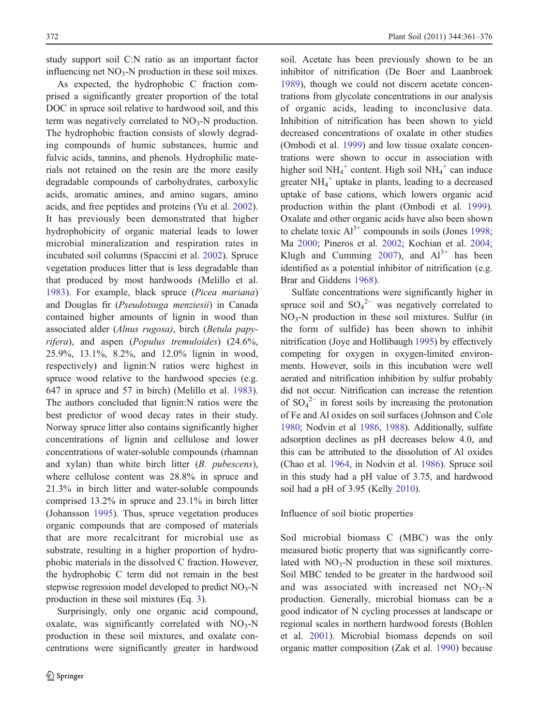study support soil C:N ratio as an important factor influencing net  $NO<sub>3</sub>-N$  production in these soil mixes.

As expected, the hydrophobic C fraction comprised a significantly greater proportion of the total DOC in spruce soil relative to hardwood soil, and this term was negatively correlated to  $NO<sub>3</sub>-N$  production. The hydrophobic fraction consists of slowly degrading compounds of humic substances, humic and fulvic acids, tannins, and phenols. Hydrophilic materials not retained on the resin are the more easily degradable compounds of carbohydrates, carboxylic acids, aromatic amines, and amino sugars, amino acids, and free peptides and proteins (Yu et al. [2002](#page-15-0)). It has previously been demonstrated that higher hydrophobicity of organic material leads to lower microbial mineralization and respiration rates in incubated soil columns (Spaccini et al. [2002\)](#page-14-0). Spruce vegetation produces litter that is less degradable than that produced by most hardwoods (Melillo et al. [1983\)](#page-14-0). For example, black spruce (Picea mariana) and Douglas fir (Pseudotsuga menziesii) in Canada contained higher amounts of lignin in wood than associated alder (Alnus rugosa), birch (Betula papyrifera), and aspen (Populus tremuloides) (24.6%, 25.9%, 13.1%, 8.2%, and 12.0% lignin in wood, respectively) and lignin:N ratios were highest in spruce wood relative to the hardwood species (e.g. 647 in spruce and 57 in birch) (Melillo et al. [1983](#page-14-0)). The authors concluded that lignin:N ratios were the best predictor of wood decay rates in their study. Norway spruce litter also contains significantly higher concentrations of lignin and cellulose and lower concentrations of water-soluble compounds (rhamnan and xylan) than white birch litter (B. pubescens), where cellulose content was 28.8% in spruce and 21.3% in birch litter and water-soluble compounds comprised 13.2% in spruce and 23.1% in birch litter (Johansson [1995\)](#page-14-0). Thus, spruce vegetation produces organic compounds that are composed of materials that are more recalcitrant for microbial use as substrate, resulting in a higher proportion of hydrophobic materials in the dissolved C fraction. However, the hydrophobic C term did not remain in the best stepwise regression model developed to predict  $NO<sub>3</sub>-N$ production in these soil mixtures (Eq. [3\)](#page-8-0).

Surprisingly, only one organic acid compound, oxalate, was significantly correlated with  $NO<sub>3</sub>-N$ production in these soil mixtures, and oxalate concentrations were significantly greater in hardwood soil. Acetate has been previously shown to be an inhibitor of nitrification (De Boer and Laanbroek [1989\)](#page-13-0), though we could not discern acetate concentrations from glycolate concentrations in our analysis of organic acids, leading to inconclusive data. Inhibition of nitrification has been shown to yield decreased concentrations of oxalate in other studies (Ombodi et al. [1999\)](#page-14-0) and low tissue oxalate concentrations were shown to occur in association with higher soil  $NH_4^+$  content. High soil  $NH_4^+$  can induce greater  $NH_4^+$  uptake in plants, leading to a decreased uptake of base cations, which lowers organic acid production within the plant (Ombodi et al. [1999\)](#page-14-0). Oxalate and other organic acids have also been shown to chelate toxic  $Al^{3+}$  compounds in soils (Jones [1998;](#page-14-0) Ma [2000](#page-14-0); Pineros et al. [2002;](#page-14-0) Kochian et al. [2004;](#page-14-0) Klugh and Cumming [2007](#page-14-0)), and  $Al^{3+}$  has been identified as a potential inhibitor of nitrification (e.g. Brar and Giddens [1968\)](#page-13-0).

Sulfate concentrations were significantly higher in spruce soil and  $SO_4^2$ <sup>-</sup> was negatively correlated to NO3-N production in these soil mixtures. Sulfur (in the form of sulfide) has been shown to inhibit nitrification (Joye and Hollibaugh [1995\)](#page-14-0) by effectively competing for oxygen in oxygen-limited environments. However, soils in this incubation were well aerated and nitrification inhibition by sulfur probably did not occur. Nitrification can increase the retention of  $SO_4^2$ <sup>-</sup> in forest soils by increasing the protonation of Fe and Al oxides on soil surfaces (Johnson and Cole [1980](#page-14-0); Nodvin et al [1986](#page-14-0), [1988\)](#page-14-0). Additionally, sulfate adsorption declines as pH decreases below 4.0, and this can be attributed to the dissolution of Al oxides (Chao et al. [1964,](#page-13-0) in Nodvin et al. [1986](#page-14-0)). Spruce soil in this study had a pH value of 3.75, and hardwood soil had a pH of 3.95 (Kelly [2010\)](#page-14-0).

## Influence of soil biotic properties

Soil microbial biomass C (MBC) was the only measured biotic property that was significantly correlated with  $NO_3-N$  production in these soil mixtures. Soil MBC tended to be greater in the hardwood soil and was associated with increased net  $NO<sub>3</sub>-N$ production. Generally, microbial biomass can be a good indicator of N cycling processes at landscape or regional scales in northern hardwood forests (Bohlen et al. [2001](#page-13-0)). Microbial biomass depends on soil organic matter composition (Zak et al. [1990\)](#page-15-0) because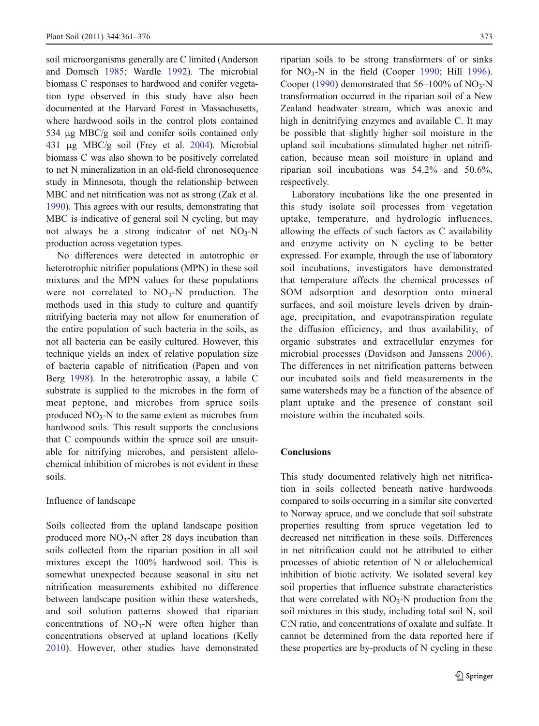soil microorganisms generally are C limited (Anderson and Domsch [1985](#page-13-0); Wardle [1992](#page-15-0)). The microbial biomass C responses to hardwood and conifer vegetation type observed in this study have also been documented at the Harvard Forest in Massachusetts, where hardwood soils in the control plots contained 534 μg MBC/g soil and conifer soils contained only 431 μg MBC/g soil (Frey et al. [2004\)](#page-13-0). Microbial biomass C was also shown to be positively correlated to net N mineralization in an old-field chronosequence study in Minnesota, though the relationship between MBC and net nitrification was not as strong (Zak et al. [1990](#page-15-0)). This agrees with our results, demonstrating that MBC is indicative of general soil N cycling, but may not always be a strong indicator of net  $NO<sub>3</sub>-N$ production across vegetation types.

No differences were detected in autotrophic or heterotrophic nitrifier populations (MPN) in these soil mixtures and the MPN values for these populations were not correlated to  $NO<sub>3</sub>-N$  production. The methods used in this study to culture and quantify nitrifying bacteria may not allow for enumeration of the entire population of such bacteria in the soils, as not all bacteria can be easily cultured. However, this technique yields an index of relative population size of bacteria capable of nitrification (Papen and von Berg [1998](#page-14-0)). In the heterotrophic assay, a labile C substrate is supplied to the microbes in the form of meat peptone, and microbes from spruce soils produced  $NO<sub>3</sub>$ -N to the same extent as microbes from hardwood soils. This result supports the conclusions that C compounds within the spruce soil are unsuitable for nitrifying microbes, and persistent allelochemical inhibition of microbes is not evident in these soils.

## Influence of landscape

Soils collected from the upland landscape position produced more  $NO<sub>3</sub>-N$  after 28 days incubation than soils collected from the riparian position in all soil mixtures except the 100% hardwood soil. This is somewhat unexpected because seasonal in situ net nitrification measurements exhibited no difference between landscape position within these watersheds, and soil solution patterns showed that riparian concentrations of  $NO<sub>3</sub>-N$  were often higher than concentrations observed at upland locations (Kelly [2010\)](#page-14-0). However, other studies have demonstrated riparian soils to be strong transformers of or sinks for  $NO<sub>3</sub>-N$  in the field (Cooper [1990](#page-13-0); Hill [1996\)](#page-14-0). Cooper [\(1990](#page-13-0)) demonstrated that  $56-100\%$  of NO<sub>3</sub>-N transformation occurred in the riparian soil of a New Zealand headwater stream, which was anoxic and high in denitrifying enzymes and available C. It may be possible that slightly higher soil moisture in the upland soil incubations stimulated higher net nitrification, because mean soil moisture in upland and riparian soil incubations was 54.2% and 50.6%, respectively.

Laboratory incubations like the one presented in this study isolate soil processes from vegetation uptake, temperature, and hydrologic influences, allowing the effects of such factors as C availability and enzyme activity on N cycling to be better expressed. For example, through the use of laboratory soil incubations, investigators have demonstrated that temperature affects the chemical processes of SOM adsorption and desorption onto mineral surfaces, and soil moisture levels driven by drainage, precipitation, and evapotranspiration regulate the diffusion efficiency, and thus availability, of organic substrates and extracellular enzymes for microbial processes (Davidson and Janssens [2006\)](#page-13-0). The differences in net nitrification patterns between our incubated soils and field measurements in the same watersheds may be a function of the absence of plant uptake and the presence of constant soil moisture within the incubated soils.

### **Conclusions**

This study documented relatively high net nitrification in soils collected beneath native hardwoods compared to soils occurring in a similar site converted to Norway spruce, and we conclude that soil substrate properties resulting from spruce vegetation led to decreased net nitrification in these soils. Differences in net nitrification could not be attributed to either processes of abiotic retention of N or allelochemical inhibition of biotic activity. We isolated several key soil properties that influence substrate characteristics that were correlated with  $NO_3-N$  production from the soil mixtures in this study, including total soil N, soil C:N ratio, and concentrations of oxalate and sulfate. It cannot be determined from the data reported here if these properties are by-products of N cycling in these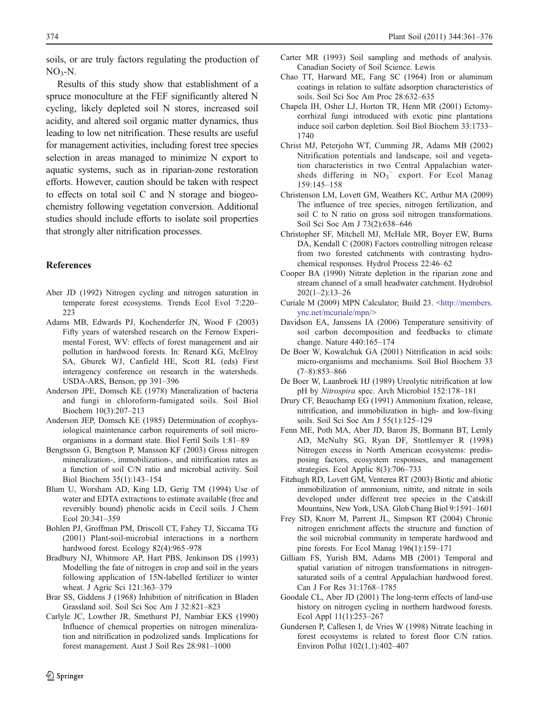<span id="page-13-0"></span>soils, or are truly factors regulating the production of  $NO<sub>3</sub>-N$ .

Results of this study show that establishment of a spruce monoculture at the FEF significantly altered N cycling, likely depleted soil N stores, increased soil acidity, and altered soil organic matter dynamics, thus leading to low net nitrification. These results are useful for management activities, including forest tree species selection in areas managed to minimize N export to aquatic systems, such as in riparian-zone restoration efforts. However, caution should be taken with respect to effects on total soil C and N storage and biogeochemistry following vegetation conversion. Additional studies should include efforts to isolate soil properties that strongly alter nitrification processes.

# References

- Aber JD (1992) Nitrogen cycling and nitrogen saturation in temperate forest ecosystems. Trends Ecol Evol 7:220– 223
- Adams MB, Edwards PJ, Kochenderfer JN, Wood F (2003) Fifty years of watershed research on the Fernow Experimental Forest, WV: effects of forest management and air pollution in hardwood forests. In: Renard KG, McElroy SA, Gburek WJ, Canfield HE, Scott RL (eds) First interagency conference on research in the watersheds. USDA-ARS, Benson, pp 391–396
- Anderson JPE, Domsch KE (1978) Mineralization of bacteria and fungi in chloroform-fumigated soils. Soil Biol Biochem 10(3):207–213
- Anderson JEP, Domsch KE (1985) Determination of ecophysiological maintenance carbon requirements of soil microorganisms in a dormant state. Biol Fertil Soils 1:81–89
- Bengtsson G, Bengtson P, Mansson KF (2003) Gross nitrogen mineralization-, immobilization-, and nitrification rates as a function of soil C/N ratio and microbial activity. Soil Biol Biochem 35(1):143–154
- Blum U, Worsham AD, King LD, Gerig TM (1994) Use of water and EDTA extractions to estimate available (free and reversibly bound) phenolic acids in Cecil soils. J Chem Ecol 20:341–359
- Bohlen PJ, Groffman PM, Driscoll CT, Fahey TJ, Siccama TG (2001) Plant-soil-microbial interactions in a northern hardwood forest. Ecology 82(4):965–978
- Bradbury NJ, Whitmore AP, Hart PBS, Jenkinson DS (1993) Modelling the fate of nitrogen in crop and soil in the years following application of 15N-labelled fertilizer to winter wheat. J Agric Sci 121:363–379
- Brar SS, Giddens J (1968) Inhibition of nitrification in Bladen Grassland soil. Soil Sci Soc Am J 32:821–823
- Carlyle JC, Lowther JR, Smethurst PJ, Nambiar EKS (1990) Influence of chemical properties on nitrogen mineralization and nitrification in podzolized sands. Implications for forest management. Aust J Soil Res 28:981–1000
- 
- Carter MR (1993) Soil sampling and methods of analysis. Canadian Society of Soil Science. Lewis
- Chao TT, Harward ME, Fang SC (1964) Iron or aluminum coatings in relation to sulfate adsorption characteristics of soils. Soil Sci Soc Am Proc 28:632–635
- Chapela IH, Osher LJ, Horton TR, Henn MR (2001) Ectomycorrhizal fungi introduced with exotic pine plantations induce soil carbon depletion. Soil Biol Biochem 33:1733– 1740
- Christ MJ, Peterjohn WT, Cumming JR, Adams MB (2002) Nitrification potentials and landscape, soil and vegetation characteristics in two Central Appalachian watersheds differing in NO<sub>3</sub><sup>-</sup> export. For Ecol Manag 159:145–158
- Christenson LM, Lovett GM, Weathers KC, Arthur MA (2009) The influence of tree species, nitrogen fertilization, and soil C to N ratio on gross soil nitrogen transformations. Soil Sci Soc Am J 73(2):638–646
- Christopher SF, Mitchell MJ, McHale MR, Boyer EW, Burns DA, Kendall C (2008) Factors controlling nitrogen release from two forested catchments with contrasting hydrochemical responses. Hydrol Process 22:46–62
- Cooper BA (1990) Nitrate depletion in the riparian zone and stream channel of a small headwater catchment. Hydrobiol 202(1–2):13–26
- Curiale M (2009) MPN Calculator; Build 23. <[http://members.](http://members.ync.net/mcuriale/mpn/) [ync.net/mcuriale/mpn/](http://members.ync.net/mcuriale/mpn/)>
- Davidson EA, Janssens IA (2006) Temperature sensitivity of soil carbon decomposition and feedbacks to climate change. Nature 440:165–174
- De Boer W, Kowalchuk GA (2001) Nitrification in acid soils: micro-organisms and mechanisms. Soil Biol Biochem 33 (7–8):853–866
- De Boer W, Laanbroek HJ (1989) Ureolytic nitrification at low pH by Nitrospira spec. Arch Microbiol 152:178–181
- Drury CF, Beauchamp EG (1991) Ammonium fixation, release, nitrification, and immobilization in high- and low-fixing soils. Soil Sci Soc Am J 55(1):125–129
- Fenn ME, Poth MA, Aber JD, Baron JS, Bormann BT, Lemly AD, McNulty SG, Ryan DF, Stottlemyer R (1998) Nitrogen excess in North American ecosystems: predisposing factors, ecosystem responses, and management strategies. Ecol Applic 8(3):706–733
- Fitzhugh RD, Lovett GM, Venterea RT (2003) Biotic and abiotic immobilization of ammonium, nitrite, and nitrate in soils developed under different tree species in the Catskill Mountains, New York, USA. Glob Chang Biol 9:1591–1601
- Frey SD, Knorr M, Parrent JL, Simpson RT (2004) Chronic nitrogen enrichment affects the structure and function of the soil microbial community in temperate hardwood and pine forests. For Ecol Manag 196(1):159–171
- Gilliam FS, Yurish BM, Adams MB (2001) Temporal and spatial variation of nitrogen transformations in nitrogensaturated soils of a central Appalachian hardwood forest. Can J For Res 31:1768–1785
- Goodale CL, Aber JD (2001) The long-term effects of land-use history on nitrogen cycling in northern hardwood forests. Ecol Appl 11(1):253–267
- Gundersen P, Callesen I, de Vries W (1998) Nitrate leaching in forest ecosystems is related to forest floor C/N ratios. Environ Pollut 102(1,1):402–407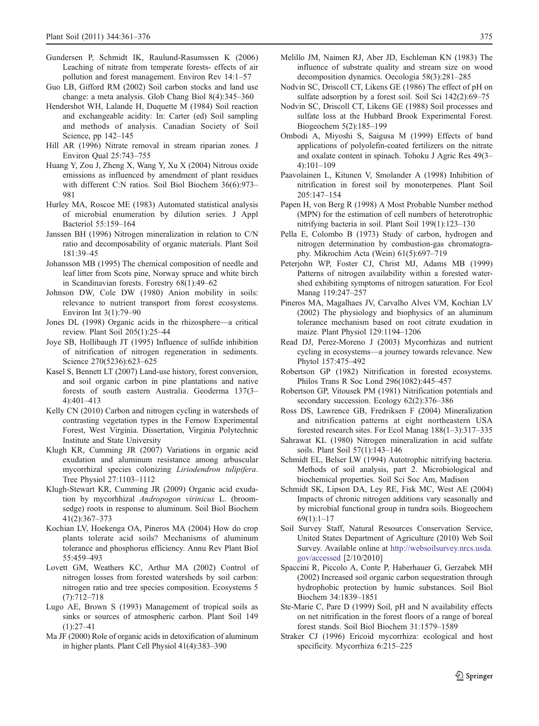- <span id="page-14-0"></span>Gundersen P, Schmidt IK, Raulund-Rasumssen K (2006) Leaching of nitrate from temperate forests- effects of air pollution and forest management. Environ Rev 14:1–57
- Guo LB, Gifford RM (2002) Soil carbon stocks and land use change: a meta analysis. Glob Chang Biol 8(4):345–360
- Hendershot WH, Lalande H, Duquette M (1984) Soil reaction and exchangeable acidity: In: Carter (ed) Soil sampling and methods of analysis. Canadian Society of Soil Science, pp 142–145
- Hill AR (1996) Nitrate removal in stream riparian zones. J Environ Qual 25:743–755
- Huang Y, Zou J, Zheng X, Wang Y, Xu X (2004) Nitrous oxide emissions as influenced by amendment of plant residues with different C:N ratios. Soil Biol Biochem 36(6):973– 981
- Hurley MA, Roscoe ME (1983) Automated statistical analysis of microbial enumeration by dilution series. J Appl Bacteriol 55:159–164
- Janssen BH (1996) Nitrogen mineralization in relation to C/N ratio and decomposability of organic materials. Plant Soil 181:39–45
- Johansson MB (1995) The chemical composition of needle and leaf litter from Scots pine, Norway spruce and white birch in Scandinavian forests. Forestry 68(1):49–62
- Johnson DW, Cole DW (1980) Anion mobility in soils: relevance to nutrient transport from forest ecosystems. Environ Int 3(1):79–90
- Jones DL (1998) Organic acids in the rhizosphere—a critical review. Plant Soil 205(1):25–44
- Joye SB, Hollibaugh JT (1995) Influence of sulfide inhibition of nitrification of nitrogen regeneration in sediments. Science 270(5236):623–625
- Kasel S, Bennett LT (2007) Land-use history, forest conversion, and soil organic carbon in pine plantations and native forests of south eastern Australia. Geoderma 137(3– 4):401–413
- Kelly CN (2010) Carbon and nitrogen cycling in watersheds of contrasting vegetation types in the Fernow Experimental Forest, West Virginia. Dissertation, Virginia Polytechnic Institute and State University
- Klugh KR, Cumming JR (2007) Variations in organic acid exudation and aluminum resistance among arbuscular mycorrhizal species colonizing Liriodendron tulipifera. Tree Physiol 27:1103–1112
- Klugh-Stewart KR, Cumming JR (2009) Organic acid exudation by mycorhhizal Andropogon virinicus L. (broomsedge) roots in response to aluminum. Soil Biol Biochem 41(2):367–373
- Kochian LV, Hoekenga OA, Pineros MA (2004) How do crop plants tolerate acid soils? Mechanisms of aluminum tolerance and phosphorus efficiency. Annu Rev Plant Biol 55:459–493
- Lovett GM, Weathers KC, Arthur MA (2002) Control of nitrogen losses from forested watersheds by soil carbon: nitrogen ratio and tree species composition. Ecosystems 5 (7):712–718
- Lugo AE, Brown S (1993) Management of tropical soils as sinks or sources of atmospheric carbon. Plant Soil 149  $(1)$  $.27-41$
- Ma JF (2000) Role of organic acids in detoxification of aluminum in higher plants. Plant Cell Physiol 41(4):383–390
- Melillo JM, Naimen RJ, Aber JD, Eschleman KN (1983) The influence of substrate quality and stream size on wood decomposition dynamics. Oecologia 58(3):281–285
- Nodvin SC, Driscoll CT, Likens GE (1986) The effect of pH on sulfate adsorption by a forest soil. Soil Sci 142(2):69–75
- Nodvin SC, Driscoll CT, Likens GE (1988) Soil processes and sulfate loss at the Hubbard Brook Experimental Forest. Biogeochem 5(2):185–199
- Ombodi A, Miyoshi S, Saigusa M (1999) Effects of band applications of polyolefin-coated fertilizers on the nitrate and oxalate content in spinach. Tohoku J Agric Res 49(3– 4):101–109
- Paavolainen L, Kitunen V, Smolander A (1998) Inhibition of nitrification in forest soil by monoterpenes. Plant Soil 205:147–154
- Papen H, von Berg R (1998) A Most Probable Number method (MPN) for the estimation of cell numbers of heterotrophic nitrifying bacteria in soil. Plant Soil 199(1):123–130
- Pella E, Colombo B (1973) Study of carbon, hydrogen and nitrogen determination by combustion-gas chromatography. Mikrochim Acta (Wein) 61(5):697–719
- Peterjohn WP, Foster CJ, Christ MJ, Adams MB (1999) Patterns of nitrogen availability within a forested watershed exhibiting symptoms of nitrogen saturation. For Ecol Manag 119:247–257
- Pineros MA, Magalhaes JV, Carvalho Alves VM, Kochian LV (2002) The physiology and biophysics of an aluminum tolerance mechanism based on root citrate exudation in maize. Plant Physiol 129:1194–1206
- Read DJ, Perez-Moreno J (2003) Mycorrhizas and nutrient cycling in ecosystems—a journey towards relevance. New Phytol 157:475–492
- Robertson GP (1982) Nitrification in forested ecosystems. Philos Trans R Soc Lond 296(1082):445–457
- Robertson GP, Vitousek PM (1981) Nitrification potentials and secondary succession. Ecology 62(2):376–386
- Ross DS, Lawrence GB, Fredriksen F (2004) Mineralization and nitrification patterns at eight northeastern USA forested research sites. For Ecol Manag 188(1–3):317–335
- Sahrawat KL (1980) Nitrogen mineralization in acid sulfate soils. Plant Soil 57(1):143–146
- Schmidt EL, Belser LW (1994) Autotrophic nitrifying bacteria. Methods of soil analysis, part 2. Microbiological and biochemical properties. Soil Sci Soc Am, Madison
- Schmidt SK, Lipson DA, Ley RE, Fisk MC, West AE (2004) Impacts of chronic nitrogen additions vary seasonally and by microbial functional group in tundra soils. Biogeochem 69(1):1–17
- Soil Survey Staff, Natural Resources Conservation Service, United States Department of Agriculture (2010) Web Soil Survey. Available online at [http://websoilsurvey.nrcs.usda.](http://websoilsurvey.nrcs.usda.gov/accessed) [gov/accessed](http://websoilsurvey.nrcs.usda.gov/accessed) [2/10/2010]
- Spaccini R, Piccolo A, Conte P, Haberhauer G, Gerzabek MH (2002) Increased soil organic carbon sequestration through hydrophobic protection by humic substances. Soil Biol Biochem 34:1839–1851
- Ste-Marie C, Pare D (1999) Soil, pH and N availability effects on net nitrification in the forest floors of a range of boreal forest stands. Soil Biol Biochem 31:1579–1589
- Straker CJ (1996) Ericoid mycorrhiza: ecological and host specificity. Mycorrhiza 6:215–225